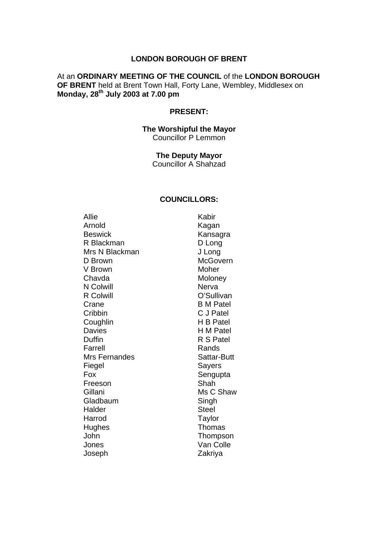### **LONDON BOROUGH OF BRENT**

### At an **ORDINARY MEETING OF THE COUNCIL** of the **LONDON BOROUGH OF BRENT** held at Brent Town Hall, Forty Lane, Wembley, Middlesex on **Monday, 28th July 2003 at 7.00 pm**

### **PRESENT:**

### **The Worshipful the Mayor**  Councillor P Lemmon

**The Deputy Mayor**  Councillor A Shahzad

### **COUNCILLORS:**

Allie Kabir Arnold Kagan Beswick **Kansagra** R Blackman D Long Mrs N Blackman J Long D Brown McGovern V Brown Moher Chavda Moloney N Colwill Nerva R Colwill **Collection** O'Sullivan Crane B M Patel Cribbin C J Patel Coughlin H B Patel Davies **H M Patel** Duffin **R S Patel** Farrell Rands Mrs Fernandes Sattar-Butt Fiegel Sayers Fox Sengupta Freeson Shah Gillani Ms C Shaw Gladbaum Singh Halder Steel Harrod Taylor Hughes Thomas John Thompson Jones Van Colle Joseph Zakriya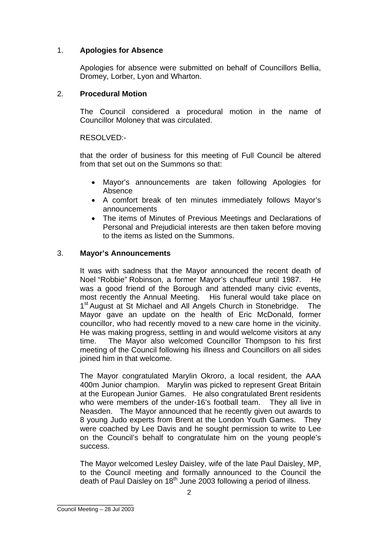# 1. **Apologies for Absence**

Apologies for absence were submitted on behalf of Councillors Bellia, Dromey, Lorber, Lyon and Wharton.

# 2. **Procedural Motion**

The Council considered a procedural motion in the name of Councillor Moloney that was circulated.

RESOLVED:-

that the order of business for this meeting of Full Council be altered from that set out on the Summons so that:

- Mayor's announcements are taken following Apologies for Absence
- A comfort break of ten minutes immediately follows Mayor's announcements
- The items of Minutes of Previous Meetings and Declarations of Personal and Prejudicial interests are then taken before moving to the items as listed on the Summons.

## 3. **Mayor's Announcements**

It was with sadness that the Mayor announced the recent death of Noel "Robbie" Robinson, a former Mayor's chauffeur until 1987. He was a good friend of the Borough and attended many civic events, most recently the Annual Meeting. His funeral would take place on 1<sup>st</sup> August at St Michael and All Angels Church in Stonebridge. The Mayor gave an update on the health of Eric McDonald, former councillor, who had recently moved to a new care home in the vicinity. He was making progress, settling in and would welcome visitors at any time. The Mayor also welcomed Councillor Thompson to his first meeting of the Council following his illness and Councillors on all sides joined him in that welcome.

The Mayor congratulated Marylin Okroro, a local resident, the AAA 400m Junior champion. Marylin was picked to represent Great Britain at the European Junior Games. He also congratulated Brent residents who were members of the under-16's football team. They all live in Neasden. The Mayor announced that he recently given out awards to 8 young Judo experts from Brent at the London Youth Games. They were coached by Lee Davis and he sought permission to write to Lee on the Council's behalf to congratulate him on the young people's success.

The Mayor welcomed Lesley Daisley, wife of the late Paul Daisley, MP, to the Council meeting and formally announced to the Council the death of Paul Daisley on 18<sup>th</sup> June 2003 following a period of illness.

\_\_\_\_\_\_\_\_\_\_\_\_\_\_\_\_\_\_ Council Meeting – 28 Jul 2003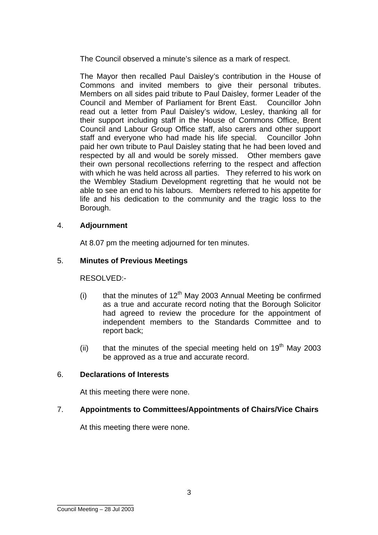The Council observed a minute's silence as a mark of respect.

The Mayor then recalled Paul Daisley's contribution in the House of Commons and invited members to give their personal tributes. Members on all sides paid tribute to Paul Daisley, former Leader of the Council and Member of Parliament for Brent East.Councillor John read out a letter from Paul Daisley's widow, Lesley, thanking all for their support including staff in the House of Commons Office, Brent Council and Labour Group Office staff, also carers and other support staff and everyone who had made his life special. Councillor John paid her own tribute to Paul Daisley stating that he had been loved and respected by all and would be sorely missed. Other members gave their own personal recollections referring to the respect and affection with which he was held across all parties. They referred to his work on the Wembley Stadium Development regretting that he would not be able to see an end to his labours. Members referred to his appetite for life and his dedication to the community and the tragic loss to the Borough.

## 4. **Adjournment**

At 8.07 pm the meeting adjourned for ten minutes.

## 5. **Minutes of Previous Meetings**

RESOLVED:-

- (i) that the minutes of  $12<sup>th</sup>$  May 2003 Annual Meeting be confirmed as a true and accurate record noting that the Borough Solicitor had agreed to review the procedure for the appointment of independent members to the Standards Committee and to report back;
- (ii) that the minutes of the special meeting held on  $19<sup>th</sup>$  May 2003 be approved as a true and accurate record.

## 6. **Declarations of Interests**

At this meeting there were none.

## 7. **Appointments to Committees/Appointments of Chairs/Vice Chairs**

At this meeting there were none.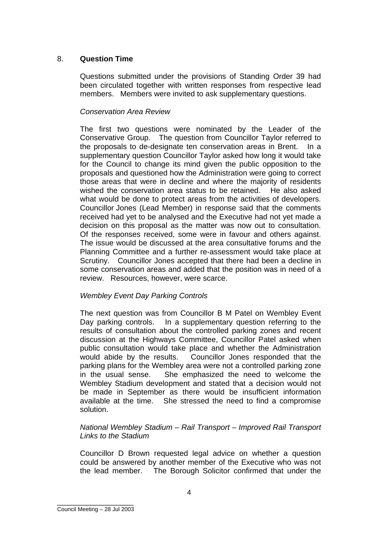# 8. **Question Time**

Questions submitted under the provisions of Standing Order 39 had been circulated together with written responses from respective lead members. Members were invited to ask supplementary questions.

## *Conservation Area Review*

The first two questions were nominated by the Leader of the Conservative Group. The question from Councillor Taylor referred to the proposals to de-designate ten conservation areas in Brent. In a supplementary question Councillor Taylor asked how long it would take for the Council to change its mind given the public opposition to the proposals and questioned how the Administration were going to correct those areas that were in decline and where the majority of residents wished the conservation area status to be retained. He also asked what would be done to protect areas from the activities of developers. Councillor Jones (Lead Member) in response said that the comments received had yet to be analysed and the Executive had not yet made a decision on this proposal as the matter was now out to consultation. Of the responses received, some were in favour and others against. The issue would be discussed at the area consultative forums and the Planning Committee and a further re-assessment would take place at Scrutiny. Councillor Jones accepted that there had been a decline in some conservation areas and added that the position was in need of a review. Resources, however, were scarce.

## *Wembley Event Day Parking Controls*

The next question was from Councillor B M Patel on Wembley Event Day parking controls. In a supplementary question referring to the results of consultation about the controlled parking zones and recent discussion at the Highways Committee, Councillor Patel asked when public consultation would take place and whether the Administration would abide by the results. Councillor Jones responded that the parking plans for the Wembley area were not a controlled parking zone in the usual sense. She emphasized the need to welcome the Wembley Stadium development and stated that a decision would not be made in September as there would be insufficient information available at the time. She stressed the need to find a compromise solution.

# *National Wembley Stadium – Rail Transport – Improved Rail Transport Links to the Stadium*

Councillor D Brown requested legal advice on whether a question could be answered by another member of the Executive who was not the lead member. The Borough Solicitor confirmed that under the

#### \_\_\_\_\_\_\_\_\_\_\_\_\_\_\_\_\_\_ Council Meeting – 28 Jul 2003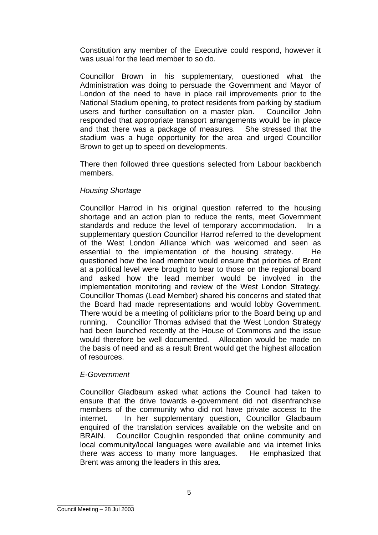Constitution any member of the Executive could respond, however it was usual for the lead member to so do.

Councillor Brown in his supplementary, questioned what the Administration was doing to persuade the Government and Mayor of London of the need to have in place rail improvements prior to the National Stadium opening, to protect residents from parking by stadium users and further consultation on a master plan. Councillor John responded that appropriate transport arrangements would be in place and that there was a package of measures. She stressed that the stadium was a huge opportunity for the area and urged Councillor Brown to get up to speed on developments.

There then followed three questions selected from Labour backbench members.

### *Housing Shortage*

Councillor Harrod in his original question referred to the housing shortage and an action plan to reduce the rents, meet Government standards and reduce the level of temporary accommodation. In a supplementary question Councillor Harrod referred to the development of the West London Alliance which was welcomed and seen as essential to the implementation of the housing strategy. He questioned how the lead member would ensure that priorities of Brent at a political level were brought to bear to those on the regional board and asked how the lead member would be involved in the implementation monitoring and review of the West London Strategy. Councillor Thomas (Lead Member) shared his concerns and stated that the Board had made representations and would lobby Government. There would be a meeting of politicians prior to the Board being up and running. Councillor Thomas advised that the West London Strategy had been launched recently at the House of Commons and the issue would therefore be well documented. Allocation would be made on the basis of need and as a result Brent would get the highest allocation of resources.

## *E-Government*

Councillor Gladbaum asked what actions the Council had taken to ensure that the drive towards e-government did not disenfranchise members of the community who did not have private access to the internet. In her supplementary question, Councillor Gladbaum enquired of the translation services available on the website and on BRAIN. Councillor Coughlin responded that online community and local community/local languages were available and via internet links there was access to many more languages. He emphasized that Brent was among the leaders in this area.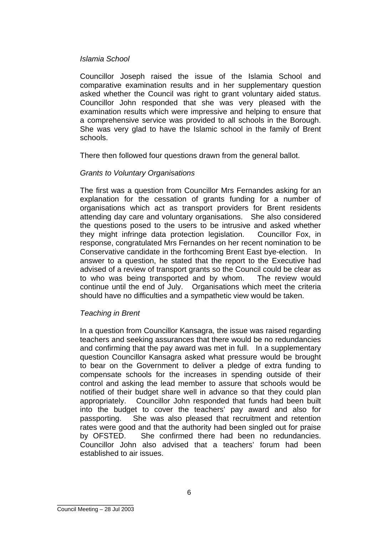### *Islamia School*

Councillor Joseph raised the issue of the Islamia School and comparative examination results and in her supplementary question asked whether the Council was right to grant voluntary aided status. Councillor John responded that she was very pleased with the examination results which were impressive and helping to ensure that a comprehensive service was provided to all schools in the Borough. She was very glad to have the Islamic school in the family of Brent schools.

There then followed four questions drawn from the general ballot.

## *Grants to Voluntary Organisations*

The first was a question from Councillor Mrs Fernandes asking for an explanation for the cessation of grants funding for a number of organisations which act as transport providers for Brent residents attending day care and voluntary organisations. She also considered the questions posed to the users to be intrusive and asked whether they might infringe data protection legislation. Councillor Fox, in response, congratulated Mrs Fernandes on her recent nomination to be Conservative candidate in the forthcoming Brent East bye-election. In answer to a question, he stated that the report to the Executive had advised of a review of transport grants so the Council could be clear as to who was being transported and by whom. The review would continue until the end of July. Organisations which meet the criteria should have no difficulties and a sympathetic view would be taken.

## *Teaching in Brent*

In a question from Councillor Kansagra, the issue was raised regarding teachers and seeking assurances that there would be no redundancies and confirming that the pay award was met in full. In a supplementary question Councillor Kansagra asked what pressure would be brought to bear on the Government to deliver a pledge of extra funding to compensate schools for the increases in spending outside of their control and asking the lead member to assure that schools would be notified of their budget share well in advance so that they could plan appropriately. Councillor John responded that funds had been built into the budget to cover the teachers' pay award and also for passporting. She was also pleased that recruitment and retention rates were good and that the authority had been singled out for praise by OFSTED. She confirmed there had been no redundancies. Councillor John also advised that a teachers' forum had been established to air issues.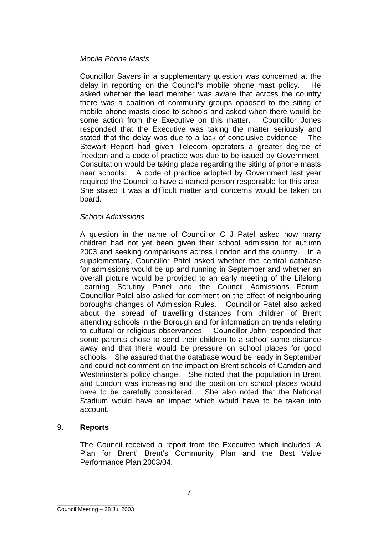## *Mobile Phone Masts*

Councillor Sayers in a supplementary question was concerned at the delay in reporting on the Council's mobile phone mast policy. He asked whether the lead member was aware that across the country there was a coalition of community groups opposed to the siting of mobile phone masts close to schools and asked when there would be some action from the Executive on this matter. Councillor Jones responded that the Executive was taking the matter seriously and stated that the delay was due to a lack of conclusive evidence. The Stewart Report had given Telecom operators a greater degree of freedom and a code of practice was due to be issued by Government. Consultation would be taking place regarding the siting of phone masts near schools. A code of practice adopted by Government last year required the Council to have a named person responsible for this area. She stated it was a difficult matter and concerns would be taken on board.

### *School Admissions*

A question in the name of Councillor C J Patel asked how many children had not yet been given their school admission for autumn 2003 and seeking comparisons across London and the country. In a supplementary, Councillor Patel asked whether the central database for admissions would be up and running in September and whether an overall picture would be provided to an early meeting of the Lifelong Learning Scrutiny Panel and the Council Admissions Forum. Councillor Patel also asked for comment on the effect of neighbouring boroughs changes of Admission Rules. Councillor Patel also asked about the spread of travelling distances from children of Brent attending schools in the Borough and for information on trends relating to cultural or religious observances. Councillor John responded that some parents chose to send their children to a school some distance away and that there would be pressure on school places for good schools. She assured that the database would be ready in September and could not comment on the impact on Brent schools of Camden and Westminster's policy change. She noted that the population in Brent and London was increasing and the position on school places would have to be carefully considered. She also noted that the National Stadium would have an impact which would have to be taken into account.

## 9. **Reports**

The Council received a report from the Executive which included 'A Plan for Brent' Brent's Community Plan and the Best Value Performance Plan 2003/04.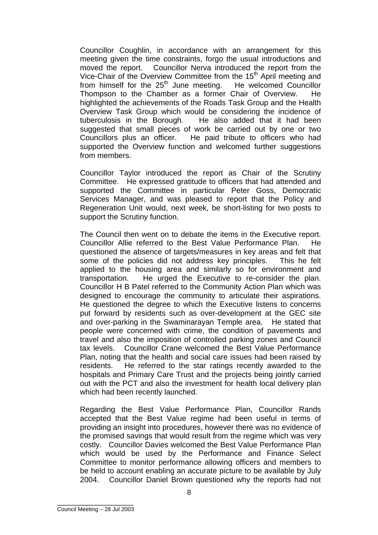Councillor Coughlin, in accordance with an arrangement for this meeting given the time constraints, forgo the usual introductions and moved the report. Councillor Nerva introduced the report from the Vice-Chair of the Overview Committee from the 15<sup>th</sup> April meeting and from himself for the  $25<sup>th</sup>$  June meeting. He welcomed Councillor Thompson to the Chamber as a former Chair of Overview. He highlighted the achievements of the Roads Task Group and the Health Overview Task Group which would be considering the incidence of tuberculosis in the Borough. He also added that it had been suggested that small pieces of work be carried out by one or two Councillors plus an officer. He paid tribute to officers who had supported the Overview function and welcomed further suggestions from members.

Councillor Taylor introduced the report as Chair of the Scrutiny Committee. He expressed gratitude to officers that had attended and supported the Committee in particular Peter Goss, Democratic Services Manager, and was pleased to report that the Policy and Regeneration Unit would, next week, be short-listing for two posts to support the Scrutiny function.

The Council then went on to debate the items in the Executive report. Councillor Allie referred to the Best Value Performance Plan. He questioned the absence of targets/measures in key areas and felt that some of the policies did not address key principles. This he felt applied to the housing area and similarly so for environment and transportation. He urged the Executive to re-consider the plan. Councillor H B Patel referred to the Community Action Plan which was designed to encourage the community to articulate their aspirations. He questioned the degree to which the Executive listens to concerns put forward by residents such as over-development at the GEC site and over-parking in the Swaminarayan Temple area. He stated that people were concerned with crime, the condition of pavements and travel and also the imposition of controlled parking zones and Council tax levels. Councillor Crane welcomed the Best Value Performance Plan, noting that the health and social care issues had been raised by residents. He referred to the star ratings recently awarded to the hospitals and Primary Care Trust and the projects being jointly carried out with the PCT and also the investment for health local delivery plan which had been recently launched.

Regarding the Best Value Performance Plan, Councillor Rands accepted that the Best Value regime had been useful in terms of providing an insight into procedures, however there was no evidence of the promised savings that would result from the regime which was very costly. Councillor Davies welcomed the Best Value Performance Plan which would be used by the Performance and Finance Select Committee to monitor performance allowing officers and members to be held to account enabling an accurate picture to be available by July 2004. Councillor Daniel Brown questioned why the reports had not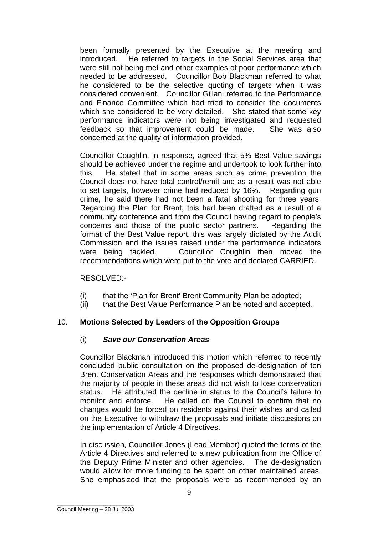been formally presented by the Executive at the meeting and introduced. He referred to targets in the Social Services area that were still not being met and other examples of poor performance which needed to be addressed. Councillor Bob Blackman referred to what he considered to be the selective quoting of targets when it was considered convenient. Councillor Gillani referred to the Performance and Finance Committee which had tried to consider the documents which she considered to be very detailed. She stated that some key performance indicators were not being investigated and requested feedback so that improvement could be made. She was also concerned at the quality of information provided.

Councillor Coughlin, in response, agreed that 5% Best Value savings should be achieved under the regime and undertook to look further into this. He stated that in some areas such as crime prevention the Council does not have total control/remit and as a result was not able to set targets, however crime had reduced by 16%. Regarding gun crime, he said there had not been a fatal shooting for three years. Regarding the Plan for Brent, this had been drafted as a result of a community conference and from the Council having regard to people's concerns and those of the public sector partners. Regarding the format of the Best Value report, this was largely dictated by the Audit Commission and the issues raised under the performance indicators were being tackled. Councillor Coughlin then moved the recommendations which were put to the vote and declared CARRIED.

## RESOLVED:-

- (i) that the 'Plan for Brent' Brent Community Plan be adopted;
- (ii) that the Best Value Performance Plan be noted and accepted.

## 10. **Motions Selected by Leaders of the Opposition Groups**

## (i) *Save our Conservation Areas*

Councillor Blackman introduced this motion which referred to recently concluded public consultation on the proposed de-designation of ten Brent Conservation Areas and the responses which demonstrated that the majority of people in these areas did not wish to lose conservation status. He attributed the decline in status to the Council's failure to monitor and enforce. He called on the Council to confirm that no changes would be forced on residents against their wishes and called on the Executive to withdraw the proposals and initiate discussions on the implementation of Article 4 Directives.

In discussion, Councillor Jones (Lead Member) quoted the terms of the Article 4 Directives and referred to a new publication from the Office of the Deputy Prime Minister and other agencies. The de-designation would allow for more funding to be spent on other maintained areas. She emphasized that the proposals were as recommended by an

\_\_\_\_\_\_\_\_\_\_\_\_\_\_\_\_\_\_ Council Meeting – 28 Jul 2003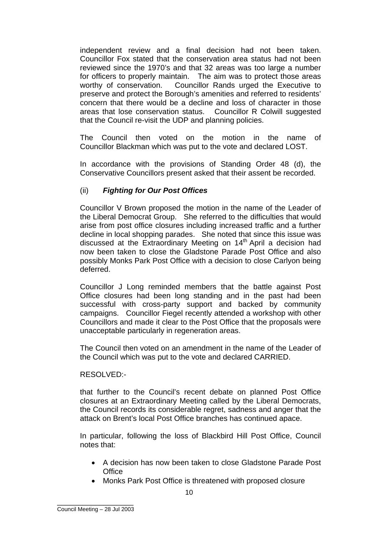independent review and a final decision had not been taken. Councillor Fox stated that the conservation area status had not been reviewed since the 1970's and that 32 areas was too large a number for officers to properly maintain. The aim was to protect those areas worthy of conservation. Councillor Rands urged the Executive to preserve and protect the Borough's amenities and referred to residents' concern that there would be a decline and loss of character in those areas that lose conservation status. Councillor R Colwill suggested that the Council re-visit the UDP and planning policies.

The Council then voted on the motion in the name of Councillor Blackman which was put to the vote and declared LOST.

In accordance with the provisions of Standing Order 48 (d), the Conservative Councillors present asked that their assent be recorded.

# (ii) *Fighting for Our Post Offices*

Councillor V Brown proposed the motion in the name of the Leader of the Liberal Democrat Group. She referred to the difficulties that would arise from post office closures including increased traffic and a further decline in local shopping parades. She noted that since this issue was discussed at the Extraordinary Meeting on 14<sup>th</sup> April a decision had now been taken to close the Gladstone Parade Post Office and also possibly Monks Park Post Office with a decision to close Carlyon being deferred.

Councillor J Long reminded members that the battle against Post Office closures had been long standing and in the past had been successful with cross-party support and backed by community campaigns. Councillor Fiegel recently attended a workshop with other Councillors and made it clear to the Post Office that the proposals were unacceptable particularly in regeneration areas.

The Council then voted on an amendment in the name of the Leader of the Council which was put to the vote and declared CARRIED.

## RESOLVED:-

that further to the Council's recent debate on planned Post Office closures at an Extraordinary Meeting called by the Liberal Democrats, the Council records its considerable regret, sadness and anger that the attack on Brent's local Post Office branches has continued apace.

In particular, following the loss of Blackbird Hill Post Office, Council notes that:

- A decision has now been taken to close Gladstone Parade Post **Office**
- Monks Park Post Office is threatened with proposed closure